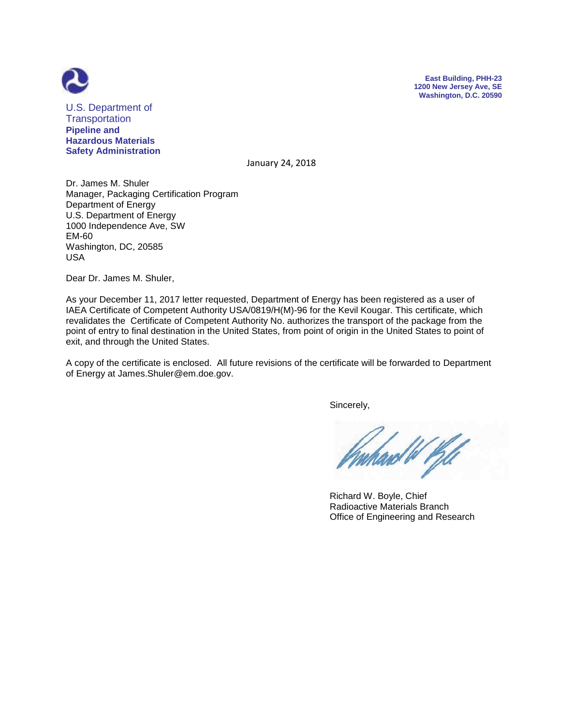



U.S. Department of **Transportation Pipeline and Hazardous Materials Safety Administration**

January 24, 2018

Dr. James M. Shuler Manager, Packaging Certification Program Department of Energy U.S. Department of Energy 1000 Independence Ave, SW EM-60 Washington, DC, 20585 USA

Dear Dr. James M. Shuler,

As your December 11, 2017 letter requested, Department of Energy has been registered as a user of IAEA Certificate of Competent Authority USA/0819/H(M)-96 for the Kevil Kougar. This certificate, which revalidates the Certificate of Competent Authority No. authorizes the transport of the package from the point of entry to final destination in the United States, from point of origin in the United States to point of exit, and through the United States.

A copy of the certificate is enclosed. All future revisions of the certificate will be forwarded to Department of Energy at James.Shuler@em.doe.gov.

Sincerely,

 Richard W. Boyle, Chief Radioactive Materials Branch Office of Engineering and Research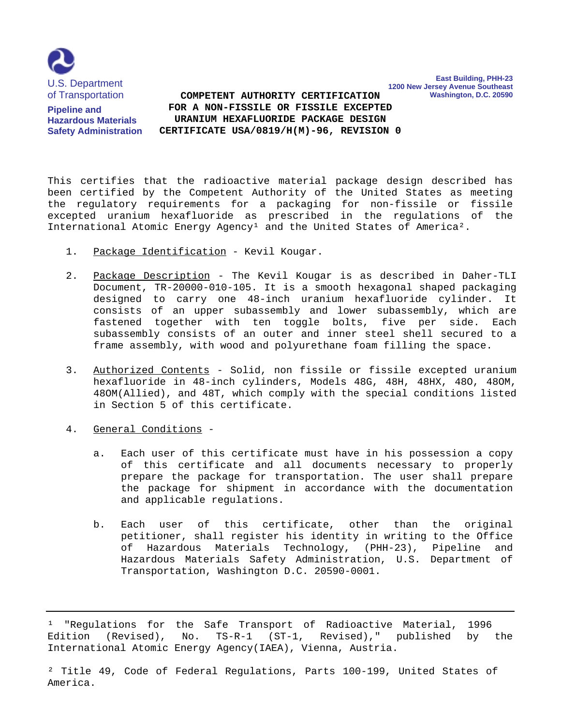

**Pipeline and Hazardous Materials Safety Administration**

 **FOR A NON-FISSILE OR FISSILE EXCEPTED COMPETENT AUTHORITY CERTIFICATION URANIUM HEXAFLUORIDE PACKAGE DESIGN CERTIFICATE USA/0819/H(M)-96, REVISION 0** **East Building, PHH-23**

**Washington, D.C. 20590**

**1200 New Jersey Avenue Southeast**

This certifies that the radioactive material package design described has been certified by the Competent Authority of the United States as meeting the regulatory requirements for a packaging for non-fissile or fissile excepted uranium hexafluoride as prescribed in the regulations of the International Atomic Energy Agency<sup>1</sup> and the United States of America<sup>2</sup>.

- 1. Package Identification Kevil Kougar.
- 2. Package Description The Kevil Kougar is as described in Daher-TLI Document, TR-20000-010-105. It is a smooth hexagonal shaped packaging designed to carry one 48-inch uranium hexafluoride cylinder. It consists of an upper subassembly and lower subassembly, which are fastened together with ten toggle bolts, five per side. Each subassembly consists of an outer and inner steel shell secured to a frame assembly, with wood and polyurethane foam filling the space.
- 3. Authorized Contents Solid, non fissile or fissile excepted uranium hexafluoride in 48-inch cylinders, Models 48G, 48H, 48HX, 48O, 48OM, 48OM(Allied), and 48T, which comply with the special conditions listed in Section 5 of this certificate.
- 4. General Conditions
	- a. Each user of this certificate must have in his possession a copy of this certificate and all documents necessary to properly prepare the package for transportation. The user shall prepare the package for shipment in accordance with the documentation and applicable regulations.
	- b. Each user of this certificate, other than the original petitioner, shall register his identity in writing to the Office of Hazardous Materials Technology, (PHH-23), Pipeline and Hazardous Materials Safety Administration, U.S. Department of Transportation, Washington D.C. 20590-0001.

<sup>&</sup>lt;sup>1</sup> "Regulations for the Safe Transport of Radioactive Material, 1996 Edition (Revised), No. TS-R-1 (ST-1, Revised)," published by the International Atomic Energy Agency(IAEA), Vienna, Austria.

² Title 49, Code of Federal Regulations, Parts 100-199, United States of America.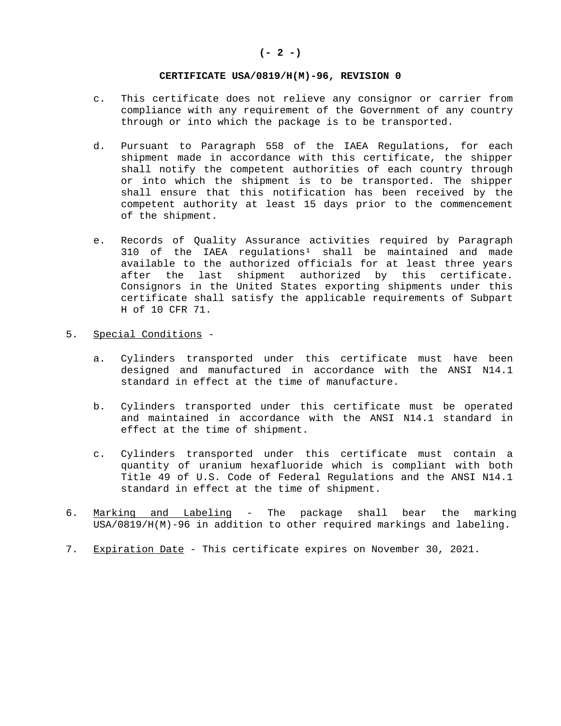### **(- 2 -)**

#### **CERTIFICATE USA/0819/H(M)-96, REVISION 0**

- c. This certificate does not relieve any consignor or carrier from compliance with any requirement of the Government of any country through or into which the package is to be transported.
- d. Pursuant to Paragraph 558 of the IAEA Regulations, for each shipment made in accordance with this certificate, the shipper shall notify the competent authorities of each country through or into which the shipment is to be transported. The shipper shall ensure that this notification has been received by the competent authority at least 15 days prior to the commencement of the shipment.
- e. Records of Quality Assurance activities required by Paragraph  $310$  of the IAEA regulations<sup>1</sup> shall be maintained and made available to the authorized officials for at least three years after the last shipment authorized by this certificate. Consignors in the United States exporting shipments under this certificate shall satisfy the applicable requirements of Subpart H of 10 CFR 71.

### 5. Special Conditions -

- a. Cylinders transported under this certificate must have been designed and manufactured in accordance with the ANSI N14.1 standard in effect at the time of manufacture.
- b. Cylinders transported under this certificate must be operated and maintained in accordance with the ANSI N14.1 standard in effect at the time of shipment.
- c. Cylinders transported under this certificate must contain a quantity of uranium hexafluoride which is compliant with both Title 49 of U.S. Code of Federal Regulations and the ANSI N14.1 standard in effect at the time of shipment.
- 6. Marking and Labeling The package shall bear the marking USA/0819/H(M)-96 in addition to other required markings and labeling.
- 7. Expiration Date This certificate expires on November 30, 2021.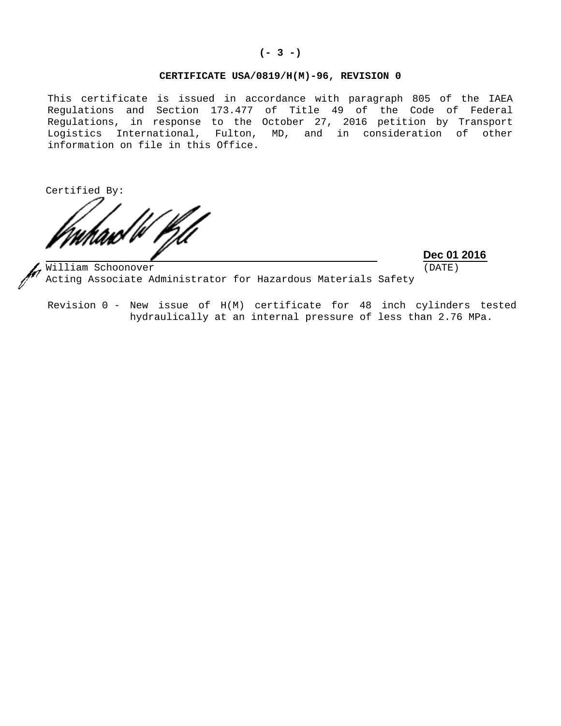### **(- 3 -)**

# **CERTIFICATE USA/0819/H(M)-96, REVISION 0**

This certificate is issued in accordance with paragraph 805 of the IAEA Regulations and Section 173.477 of Title 49 of the Code of Federal Regulations, in response to the October 27, 2016 petition by Transport Logistics International, Fulton, MD, and in consideration of other information on file in this Office.

Certified By:

**Dec 01 2016**

 (DATE)

William Schoonover Acting Associate Administrator for Hazardous Materials Safety

Revision 0 - New issue of H(M) certificate for 48 inch cylinders tested hydraulically at an internal pressure of less than 2.76 MPa.